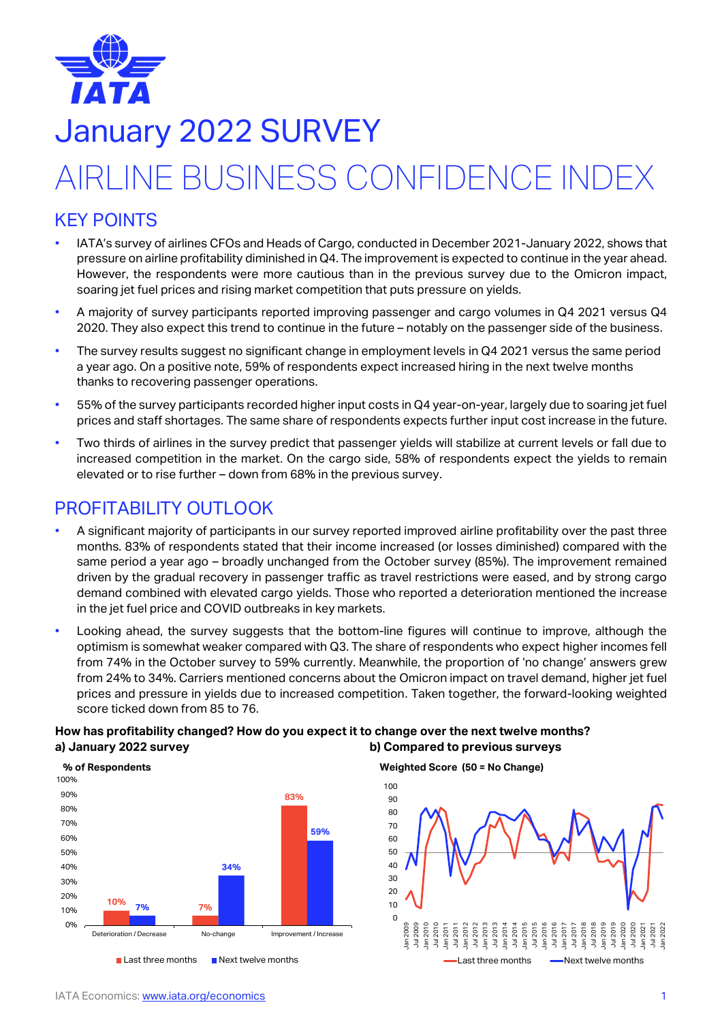

## January 2022 SURVEY

# AIRLINE BUSINESS CONFIDENCE INDEX

## KEY POINTS

- IATA's survey of airlines CFOs and Heads of Cargo, conducted in December 2021-January 2022, shows that pressure on airline profitability diminished in Q4. The improvement is expected to continue in the year ahead. However, the respondents were more cautious than in the previous survey due to the Omicron impact, soaring jet fuel prices and rising market competition that puts pressure on yields.
- A majority of survey participants reported improving passenger and cargo volumes in Q4 2021 versus Q4 2020. They also expect this trend to continue in the future – notably on the passenger side of the business.
- The survey results suggest no significant change in employment levels in Q4 2021 versus the same period a year ago. On a positive note, 59% of respondents expect increased hiring in the next twelve months thanks to recovering passenger operations.
- 55% of the survey participants recorded higher input costs in Q4 year-on-year, largely due to soaring jet fuel prices and staff shortages. The same share of respondents expects further input cost increase in the future.
- Two thirds of airlines in the survey predict that passenger yields will stabilize at current levels or fall due to increased competition in the market. On the cargo side, 58% of respondents expect the yields to remain elevated or to rise further – down from 68% in the previous survey.

## PROFITABILITY OUTLOOK

- A significant majority of participants in our survey reported improved airline profitability over the past three months. 83% of respondents stated that their income increased (or losses diminished) compared with the same period a year ago – broadly unchanged from the October survey (85%). The improvement remained driven by the gradual recovery in passenger traffic as travel restrictions were eased, and by strong cargo demand combined with elevated cargo yields. Those who reported a deterioration mentioned the increase in the jet fuel price and COVID outbreaks in key markets.
- Looking ahead, the survey suggests that the bottom-line figures will continue to improve, although the optimism is somewhat weaker compared with Q3. The share of respondents who expect higher incomes fell from 74% in the October survey to 59% currently. Meanwhile, the proportion of 'no change' answers grew from 24% to 34%. Carriers mentioned concerns about the Omicron impact on travel demand, higher jet fuel prices and pressure in yields due to increased competition. Taken together, the forward-looking weighted score ticked down from 85 to 76.

#### **How has profitability changed? How do you expect it to change over the next twelve months? a) January 2022 survey b) Compared to previous surveys**



#### **Weighted Score (50 = No Change)**

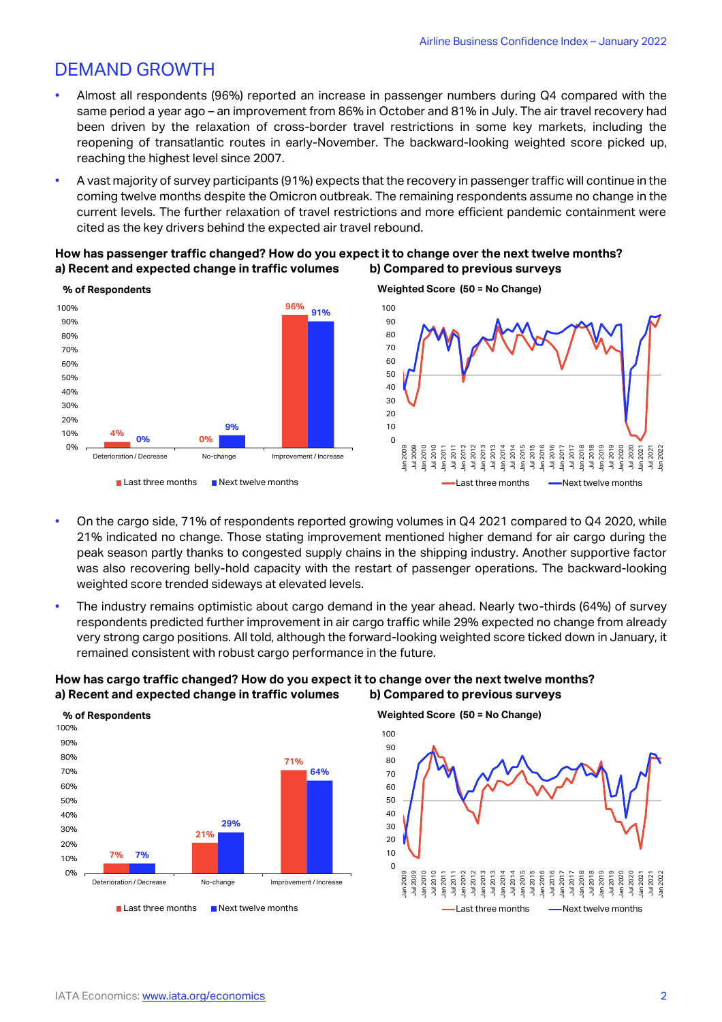## DEMAND GROWTH

- Almost all respondents (96%) reported an increase in passenger numbers during Q4 compared with the same period a year ago – an improvement from 86% in October and 81% in July. The air travel recovery had been driven by the relaxation of cross-border travel restrictions in some key markets, including the reopening of transatlantic routes in early-November. The backward-looking weighted score picked up, reaching the highest level since 2007.
- A vast majority of survey participants (91%) expects that the recovery in passenger traffic will continue in the coming twelve months despite the Omicron outbreak. The remaining respondents assume no change in the current levels. The further relaxation of travel restrictions and more efficient pandemic containment were cited as the key drivers behind the expected air travel rebound.

#### **How has passenger traffic changed? How do you expect it to change over the next twelve months? a) Recent and expected change in traffic volumes b) Compared to previous surveys**



- On the cargo side, 71% of respondents reported growing volumes in Q4 2021 compared to Q4 2020, while 21% indicated no change. Those stating improvement mentioned higher demand for air cargo during the peak season partly thanks to congested supply chains in the shipping industry. Another supportive factor was also recovering belly-hold capacity with the restart of passenger operations. The backward-looking weighted score trended sideways at elevated levels.
- The industry remains optimistic about cargo demand in the year ahead. Nearly two-thirds (64%) of survey respondents predicted further improvement in air cargo traffic while 29% expected no change from already very strong cargo positions. All told, although the forward-looking weighted score ticked down in January, it remained consistent with robust cargo performance in the future.

#### **How has cargo traffic changed? How do you expect it to change over the next twelve months? a) Recent and expected change in traffic volumes b) Compared to previous surveys**



#### **Weighted Score (50 = No Change)**



#### **Weighted Score (50 = No Change)**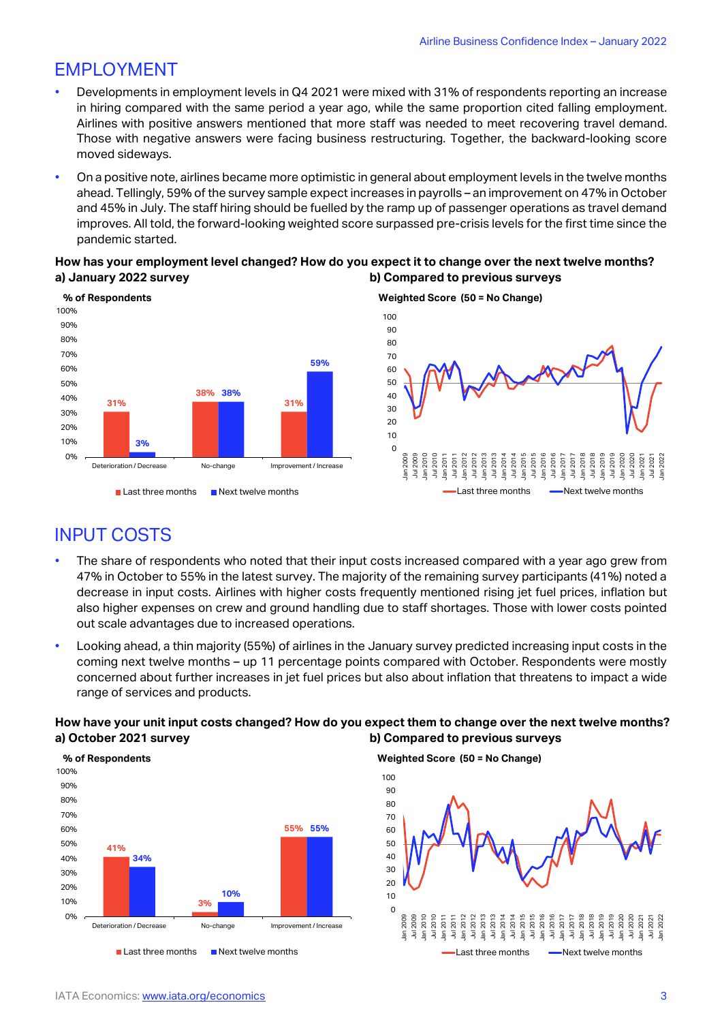## EMPLOYMENT

- Developments in employment levels in Q4 2021 were mixed with 31% of respondents reporting an increase in hiring compared with the same period a year ago, while the same proportion cited falling employment. Airlines with positive answers mentioned that more staff was needed to meet recovering travel demand. Those with negative answers were facing business restructuring. Together, the backward-looking score moved sideways.
- On a positive note, airlines became more optimistic in general about employment levels in the twelve months ahead. Tellingly, 59% of the survey sample expect increases in payrolls – an improvement on 47% in October and 45% in July. The staff hiring should be fuelled by the ramp up of passenger operations as travel demand improves. All told, the forward-looking weighted score surpassed pre-crisis levels for the first time since the pandemic started.

#### **How has your employment level changed? How do you expect it to change over the next twelve months? a) January 2022 survey b) Compared to previous surveys**



**Weighted Score (50 = No Change)** 



## INPUT COSTS

- The share of respondents who noted that their input costs increased compared with a year ago grew from 47% in October to 55% in the latest survey. The majority of the remaining survey participants (41%) noted a decrease in input costs. Airlines with higher costs frequently mentioned rising jet fuel prices, inflation but also higher expenses on crew and ground handling due to staff shortages. Those with lower costs pointed out scale advantages due to increased operations.
- Looking ahead, a thin majority (55%) of airlines in the January survey predicted increasing input costs in the coming next twelve months – up 11 percentage points compared with October. Respondents were mostly concerned about further increases in jet fuel prices but also about inflation that threatens to impact a wide range of services and products.

#### **How have your unit input costs changed? How do you expect them to change over the next twelve months? a) October 2021 survey b) Compared to previous surveys**



**Weighted Score (50 = No Change)**